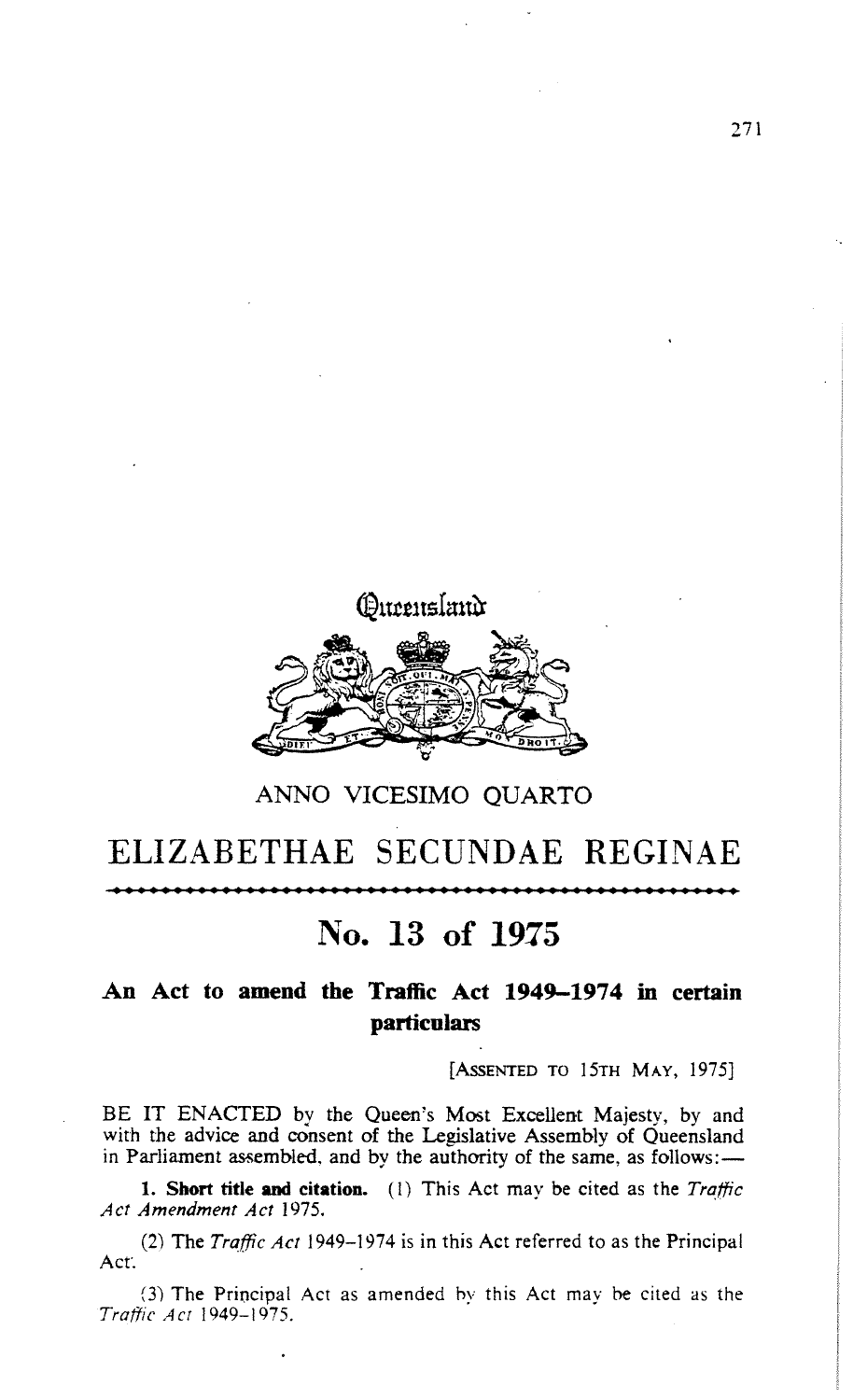

## ANNO VICESIMO QUARTO

## ELIZABETHAE SECUNDAE REGINAE

No. 13 of 1975

## An Act **to amend the** Traffic Act 1949-1974 in **certain particulars**

**[ASSENTED** TO 15TH MAY, 1975]

BE IT ENACTED by the Queen's Most Excellent Majesty, by and with the advice and consent of the Legislative Assembly of Queensland in Parliament assembled, and by the authority of the same, as follows:-

**1. Short** title **and citation**. (1) This Act may be cited as the *Trafjric Act Amendment Act* 1975.

Act'. (2) The *Traffic Act* 1949-1974 **is in this** Act referred **to as the Principal**

(3) The Principal Act as amended by this Act may be cited as the *Traffic Act* 1949-1975.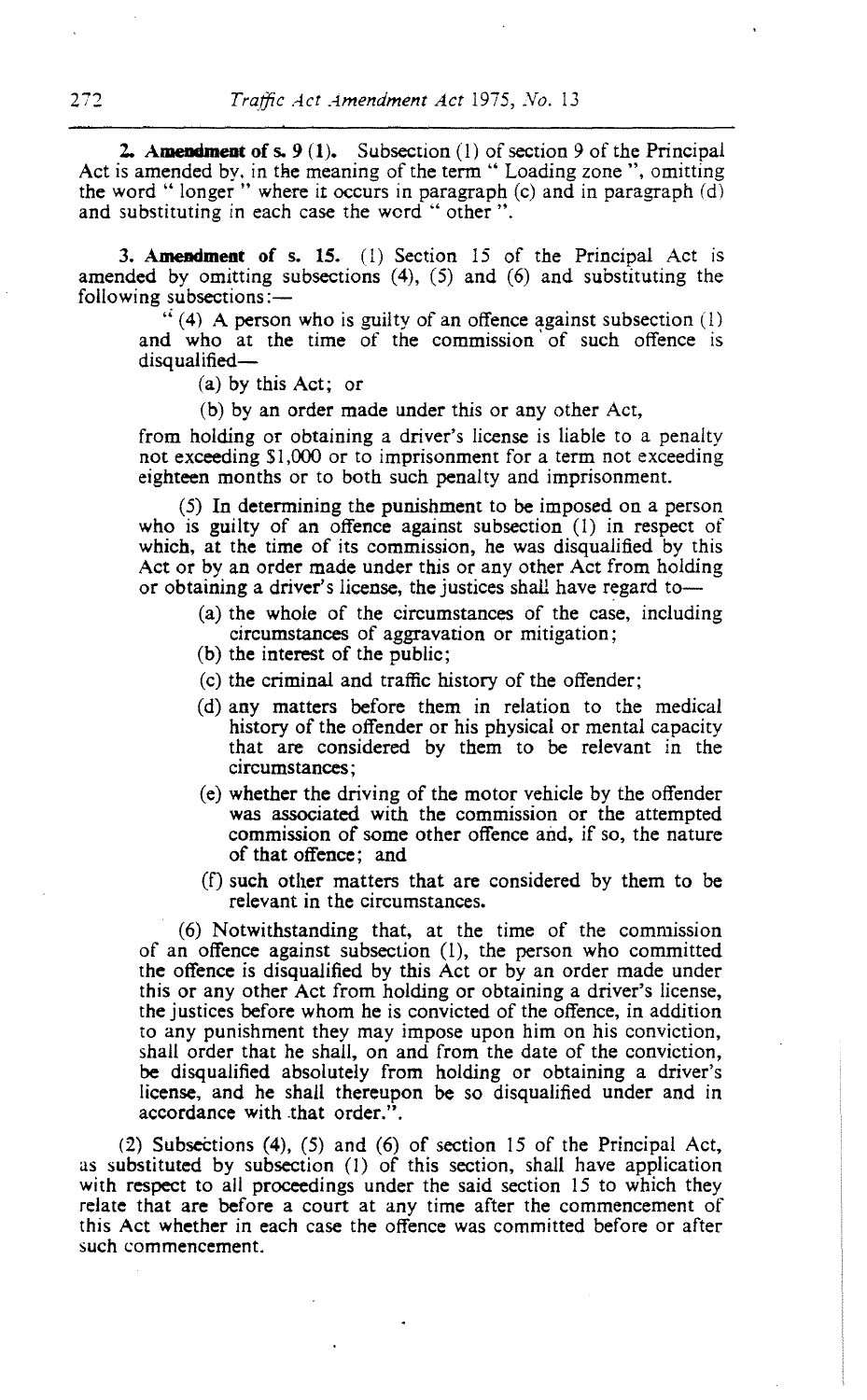**2. Amendment** of s. 9 (1). Subsection (1) of section 9 of the Principal Act is amended by. in the meaning of the term " Loading zone ", omitting the word " longer " where it occurs in paragraph (c) and in paragraph (d) and substituting in each case the word " other ".

**3. Amendment of s. 15**. (1) Section 15 of the Principal Act is amended by omitting subsections (4), (5) and (6) and substituting the following subsections:-

 $\cdot$  (4) A person who is guilty of an offence against subsection (1) and who at the time of the commission of such offence is disqualified-

(a) by this Act; or

(b) by an order made under this or any other Act,

from holding or obtaining a driver'**s license** is liable to a penalty not exceeding \$1,000 or to imprisonment for a term not exceeding eighteen months or to both such penalty and imprisonment.

(5) In determining **the punishment** to be imposed on a person who is guilty of an offence against subsection (1) in respect of which, at the **time** of its commission, he was disqualified by this Act or by an order made under this or any other Act from holding or obtaining a driver'**s license**, the justices shall have regard to-

- (a) the whole of the circumstances of the **case**, including **circumstances** of aggravation or mitigation;
- (b) the **interest** of the public;
- (c) the criminal and traffic history of the offender;
- (d) any matters before them in relation to the medical history of the offender or his physical or mental capacity that are considered by them to be relevant in the **circumstances ;**
- (e) whether the driving of the motor vehicle by the offender **was associated** with the **commission** or the attempted **commission** of some other offence and, if so, the nature of that offence; and
- (f) such other matters that are considered by them to be relevant in the circumstances.

(6) Notwithstanding that, at the time of the commission of an offence against subsection (1), the person who committed the offence is disqualified by this Act or by an order made under this or any other Act from holding or obtaining a driver'**s license,** the justices before whom he is convicted of the offence, in addition to any punishment they may impose upon him on his conviction, shall order that he shall, on and from the date of the conviction, be disqualified absolutely from holding or obtaining a driver's **license**, and he shall thereupon be so disqualified under and in **accordance** with that order.".

(2) Subsections (4), (5) and (6) of section 15 of the Principal Act, as substituted by subsection (1) of this section, shall have application with respect to all proceedings under the said section 15 to which they **relate** that are before a court at any time after the commencement of this Act whether in each case the offence was committed before or after such commencement.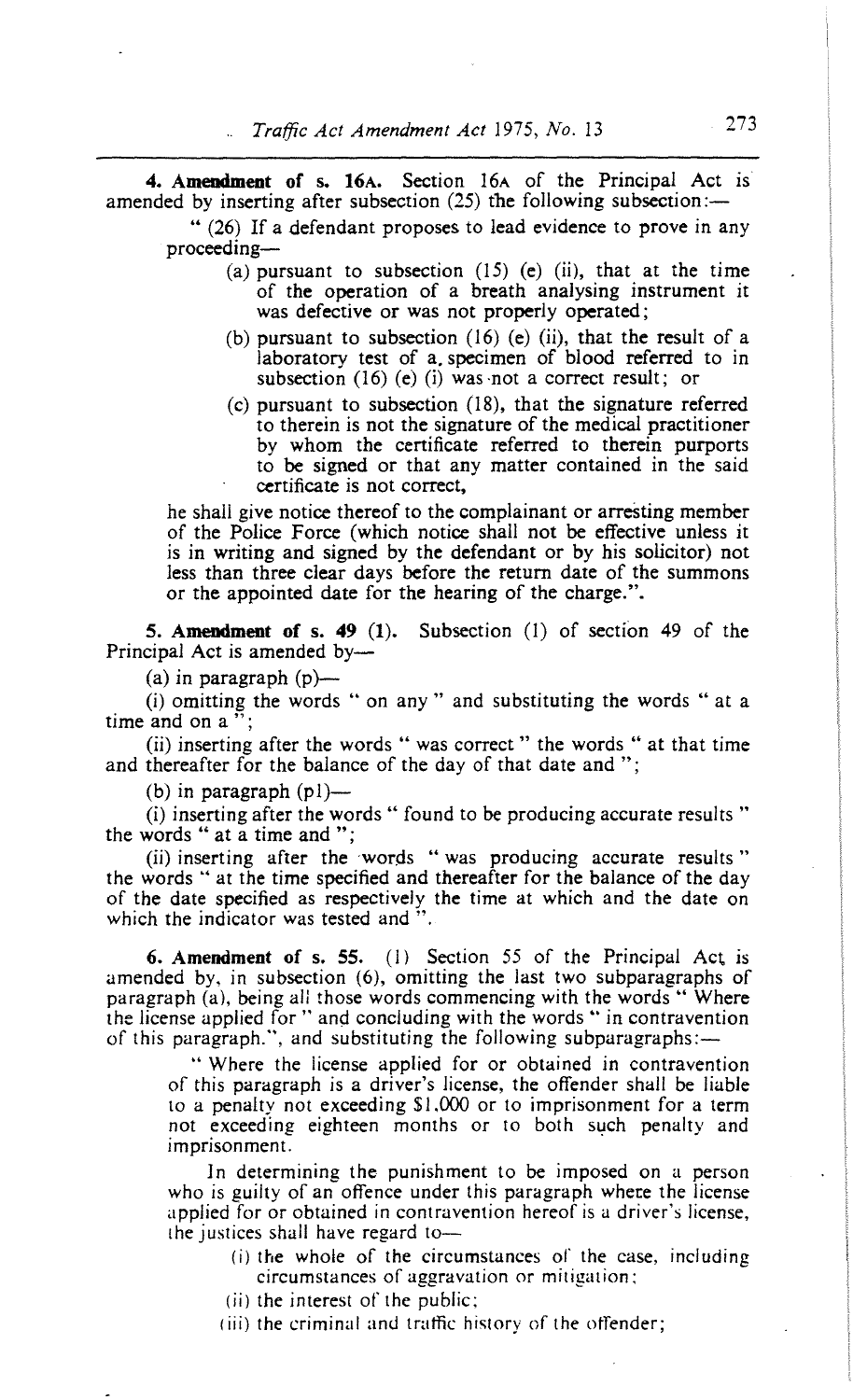**4. Amendment** of s. 16A. Section 16A of the Principal Act is amended by inserting after subsection (25) the following subsection:-

" (26) If a defendant proposes to lead evidence to prove in any proceeding-

- (a) pursuant to subsection  $(15)$  (e) (ii), that at the time of the operation of a breath analysing instrument it was defective or was not properly operated;
- (b) pursuant to subsection (16) (e) (ii), that the result of a laboratory test of a, specimen of blood referred to in subsection (16) (e) (i) was -not a correct result; or
- (c) pursuant to subsection (18), that the signature referred to therein is not the signature of the medical practitioner by whom the certificate referred to therein purports to be signed or that any matter contained in the said certificate is not correct,

he shall give notice thereof to the complainant or arresting member of the Police Force (which notice shall not be effective unless it is in writing and signed by the defendant or by his solicitor) not less than three clear days before the return date of the summons or the appointed date for the hearing of the charge.".

**5. Amendment of s. 49** (1). Subsection (1) of section 49 of the Principal Act is amended by-

 $(a)$  in paragraph  $(p)$ —

(i) omitting the words " on any " and substituting the words " at a time and on a "

(ii) inserting after the words " was correct " the words " at that time and thereafter for the balance of the day of that date and ":

(b) in paragraph  $(p!)$ —

(i) inserting after the words " found to be producing accurate results " the words " at a time and ";

(ii) inserting after the words " was producing accurate results" the words " at the time specified and thereafter for the balance of the day of the date specified as respectively the time at which and the date on which the indicator was tested and ".

**6. Amendment of s. 55.** (1) Section 55 of the Principal AcL is amended by, in subsection (6), omitting the last two subparagraphs of paragraph (a), being all those words commencing with the words " Where the license applied for " and concluding with the words " in contravention of this paragraph.", and substituting the following subparagraphs:-

" Where the license applied for or obtained in contravention of this paragraph is a driver's license, the offender shall be liable to a penalty not exceeding \$1,000 or to imprisonment for a term not exceeding eighteen months or to both such penalty and imprisonment.

In determining the punishment to be imposed on a person who is guilty of an offence under this paragraph where the license applied for or obtained in contravention hereof is a driver's license, the justices shall have regard to-

- (i) the whole of the circumstances of the case, including circumstances of aggravation or mitigation:
- (ii) the interest of the public;
- (iii) the criminal and traffic history of the offender;